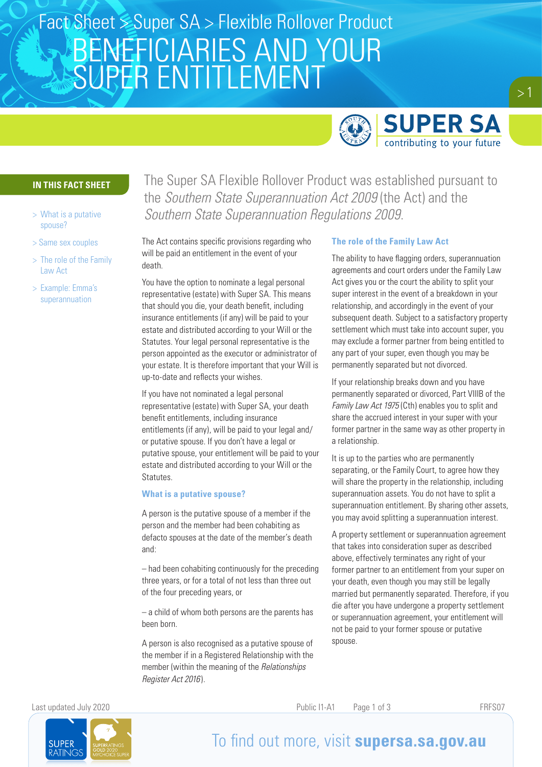# BENEFICIARIES AND YOUR SUPER ENTITLEMENT Fact Sheet  $\leq$  Super SA > Flexible Rollover Product



### **IN THIS FACT SHEET**

- > What is a putative spouse?
- > Same sex couples
- > The role of the Family Law Act
- > Example: Emma's superannuation

The Super SA Flexible Rollover Product was established pursuant to the *Southern State Superannuation Act 2009* (the Act) and the *Southern State Superannuation Regulations 2009*.

The Act contains specific provisions regarding who will be paid an entitlement in the event of your death.

You have the option to nominate a legal personal representative (estate) with Super SA. This means that should you die, your death benefit, including insurance entitlements (if any) will be paid to your estate and distributed according to your Will or the Statutes. Your legal personal representative is the person appointed as the executor or administrator of your estate. It is therefore important that your Will is up-to-date and reflects your wishes.

If you have not nominated a legal personal representative (estate) with Super SA, your death benefit entitlements, including insurance entitlements (if any), will be paid to your legal and/ or putative spouse. If you don't have a legal or putative spouse, your entitlement will be paid to your estate and distributed according to your Will or the Statutes.

#### **What is a putative spouse?**

A person is the putative spouse of a member if the person and the member had been cohabiting as defacto spouses at the date of the member's death and:

– had been cohabiting continuously for the preceding three years, or for a total of not less than three out of the four preceding years, or

– a child of whom both persons are the parents has been born.

A person is also recognised as a putative spouse of the member if in a Registered Relationship with the member (within the meaning of the *Relationships Register Act 2016* ).

#### **The role of the Family Law Act**

The ability to have flagging orders, superannuation agreements and court orders under the Family Law Act gives you or the court the ability to split your super interest in the event of a breakdown in your relationship, and accordingly in the event of your subsequent death. Subject to a satisfactory property settlement which must take into account super, you may exclude a former partner from being entitled to any part of your super, even though you may be permanently separated but not divorced.

If your relationship breaks down and you have permanently separated or divorced, Part VIIIB of the *Family Law Act 1975* (Cth) enables you to split and share the accrued interest in your super with your former partner in the same way as other property in a relationship.

It is up to the parties who are permanently separating, or the Family Court, to agree how they will share the property in the relationship, including superannuation assets. You do not have to split a superannuation entitlement. By sharing other assets, you may avoid splitting a superannuation interest.

A property settlement or superannuation agreement that takes into consideration super as described above, effectively terminates any right of your former partner to an entitlement from your super on your death, even though you may still be legally married but permanently separated. Therefore, if you die after you have undergone a property settlement or superannuation agreement, your entitlement will not be paid to your former spouse or putative spouse.

Last updated July 2020 Public I1-A1 Page 1 of 3 FRFS07



## To find out more, visit **supersa.sa.gov.au**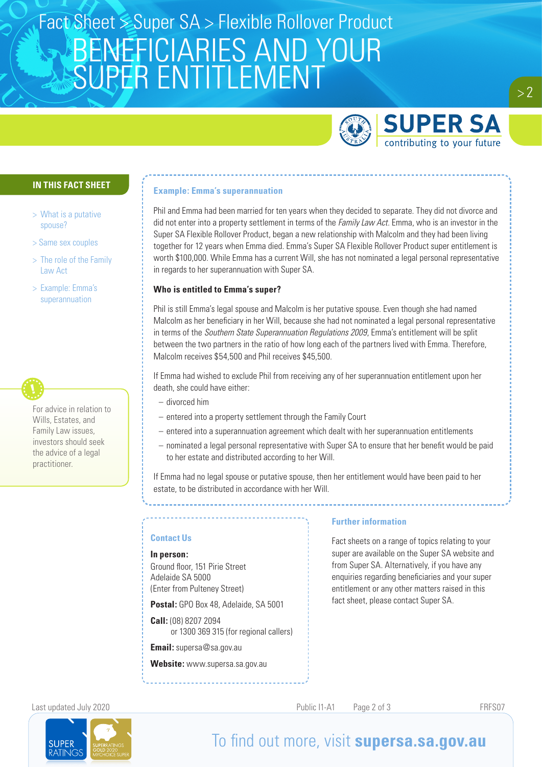# BENEFICIARIES AND YOUR SUPER ENTITLEMENT Fact Sheet Super SA > Flexible Rollover Product



### **IN THIS FACT SHEET**

- > What is a putative spouse?
- > Same sex couples
- > The role of the Family Law Act
- > Example: Emma's superannuation

For advice in relation to Wills, Estates, and Family Law issues, investors should seek the advice of a legal practitioner.

#### **Example: Emma's superannuation**

Phil and Emma had been married for ten years when they decided to separate. They did not divorce and did not enter into a property settlement in terms of the *Family Law Act*. Emma, who is an investor in the Super SA Flexible Rollover Product, began a new relationship with Malcolm and they had been living together for 12 years when Emma died. Emma's Super SA Flexible Rollover Product super entitlement is worth \$100,000. While Emma has a current Will, she has not nominated a legal personal representative in regards to her superannuation with Super SA.

#### **Who is entitled to Emma's super?**

Phil is still Emma's legal spouse and Malcolm is her putative spouse. Even though she had named Malcolm as her beneficiary in her Will, because she had not nominated a legal personal representative in terms of the *Southern State Superannuation Regulations 2009*, Emma's entitlement will be split between the two partners in the ratio of how long each of the partners lived with Emma. Therefore, Malcolm receives \$54,500 and Phil receives \$45,500.

If Emma had wished to exclude Phil from receiving any of her superannuation entitlement upon her death, she could have either:

- divorced him
- entered into a property settlement through the Family Court
- entered into a superannuation agreement which dealt with her superannuation entitlements
- nominated a legal personal representative with Super SA to ensure that her benefit would be paid to her estate and distributed according to her Will.

If Emma had no legal spouse or putative spouse, then her entitlement would have been paid to her estate, to be distributed in accordance with her Will.

#### **Contact Us**

#### **In person:**

Ground floor, 151 Pirie Street Adelaide SA 5000 (Enter from Pulteney Street)

**Postal:** GPO Box 48, Adelaide, SA 5001

**Call:** (08) 8207 2094 or 1300 369 315 (for regional callers)

**Email:** supersa@sa.gov.au

**Website:** www.supersa.sa.gov.au

#### **Further information**

Fact sheets on a range of topics relating to your super are available on the Super SA website and from Super SA. Alternatively, if you have any enquiries regarding beneficiaries and your super entitlement or any other matters raised in this fact sheet, please contact Super SA.

Last updated July 2020 **Public I1-A1** Page 2 of 3 **Public I1-A1** Page 2 of 3



## To find out more, visit **supersa.sa.gov.au**